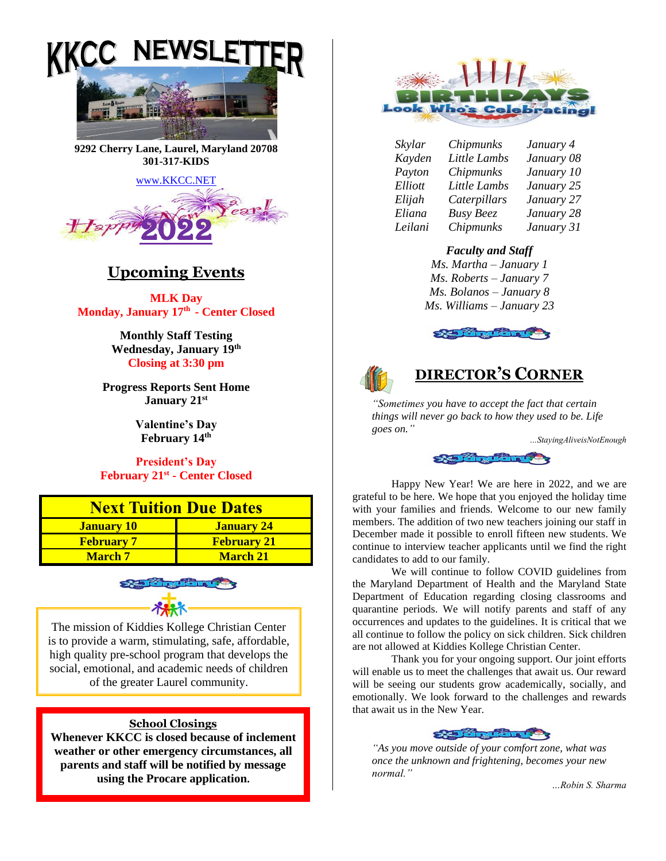



**9292 Cherry Lane, Laurel, Maryland 20708 301-317-KIDS** 

[www.KKCC.NET](http://www.kkcc.net/)



# **Upcoming Events**

**MLK Day Monday, January 17 th - Center Closed**

> **Monthly Staff Testing Wednesday, January 19th Closing at 3:30 pm**

**Progress Reports Sent Home January 21 st**

> **Valentine's Day February 14th**

**President's Day February 21st - Center Closed**

| <b>Next Tuition Due Dates</b> |                    |
|-------------------------------|--------------------|
| <b>January 10</b>             | <b>January 24</b>  |
| <b>February 7</b>             | <b>February 21</b> |
| <b>March</b> 7                | <b>March 21</b>    |



The mission of Kiddies Kollege Christian Center is to provide a warm, stimulating, safe, affordable, high quality pre-school program that develops the social, emotional, and academic needs of children of the greater Laurel community.

## **School Closings**

**Whenever KKCC is closed because of inclement weather or other emergency circumstances, all parents and staff will be notified by message using the Procare application.**



*Skylar Chipmunks January 4 Kayden Little Lambs January 08*

*Payton Chipmunks January 10 Elliott Little Lambs January 25 Elijah Caterpillars January 27 Eliana Busy Beez January 28 Leilani Chipmunks January 31*

# *Faculty and Staff*

*Ms. Martha – January 1 Ms. Roberts – January 7 Ms. Bolanos – January 8 Ms. Williams – January 23*





# **DIRECTOR'S CORNER**

*"Sometimes you have to accept the fact that certain things will never go back to how they used to be. Life goes on."*

*…StayingAliveisNotEnough*



Happy New Year! We are here in 2022, and we are grateful to be here. We hope that you enjoyed the holiday time with your families and friends. Welcome to our new family members. The addition of two new teachers joining our staff in December made it possible to enroll fifteen new students. We continue to interview teacher applicants until we find the right candidates to add to our family.

We will continue to follow COVID guidelines from the Maryland Department of Health and the Maryland State Department of Education regarding closing classrooms and quarantine periods. We will notify parents and staff of any occurrences and updates to the guidelines. It is critical that we all continue to follow the policy on sick children. Sick children are not allowed at Kiddies Kollege Christian Center.

Thank you for your ongoing support. Our joint efforts will enable us to meet the challenges that await us. Our reward will be seeing our students grow academically, socially, and emotionally. We look forward to the challenges and rewards that await us in the New Year.



*"As you move outside of your comfort zone, what was once the unknown and frightening, becomes your new normal."*

*…Robin S. Sharma*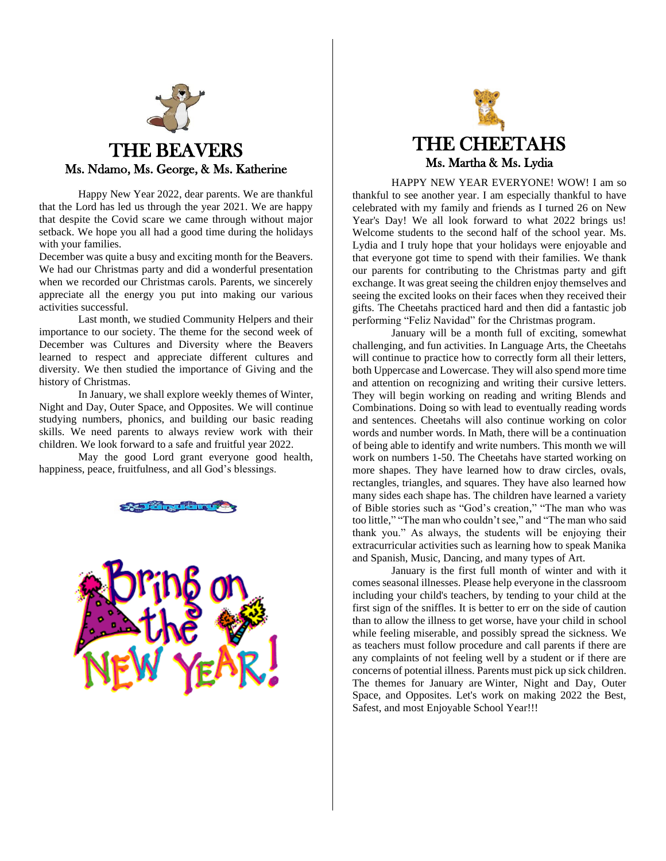

Happy New Year 2022, dear parents. We are thankful that the Lord has led us through the year 2021. We are happy that despite the Covid scare we came through without major setback. We hope you all had a good time during the holidays with your families.

December was quite a busy and exciting month for the Beavers. We had our Christmas party and did a wonderful presentation when we recorded our Christmas carols. Parents, we sincerely appreciate all the energy you put into making our various activities successful.

Last month, we studied Community Helpers and their importance to our society. The theme for the second week of December was Cultures and Diversity where the Beavers learned to respect and appreciate different cultures and diversity. We then studied the importance of Giving and the history of Christmas.

In January, we shall explore weekly themes of Winter, Night and Day, Outer Space, and Opposites. We will continue studying numbers, phonics, and building our basic reading skills. We need parents to always review work with their children. We look forward to a safe and fruitful year 2022.

May the good Lord grant everyone good health, happiness, peace, fruitfulness, and all God's blessings.







HAPPY NEW YEAR EVERYONE! WOW! I am so thankful to see another year. I am especially thankful to have celebrated with my family and friends as I turned 26 on New Year's Day! We all look forward to what 2022 brings us! Welcome students to the second half of the school year. Ms. Lydia and I truly hope that your holidays were enjoyable and that everyone got time to spend with their families. We thank our parents for contributing to the Christmas party and gift exchange. It was great seeing the children enjoy themselves and seeing the excited looks on their faces when they received their gifts. The Cheetahs practiced hard and then did a fantastic job performing "Feliz Navidad" for the Christmas program.

January will be a month full of exciting, somewhat challenging, and fun activities. In Language Arts, the Cheetahs will continue to practice how to correctly form all their letters, both Uppercase and Lowercase. They will also spend more time and attention on recognizing and writing their cursive letters. They will begin working on reading and writing Blends and Combinations. Doing so with lead to eventually reading words and sentences. Cheetahs will also continue working on color words and number words. In Math, there will be a continuation of being able to identify and write numbers. This month we will work on numbers 1-50. The Cheetahs have started working on more shapes. They have learned how to draw circles, ovals, rectangles, triangles, and squares. They have also learned how many sides each shape has. The children have learned a variety of Bible stories such as "God's creation," "The man who was too little," "The man who couldn't see," and "The man who said thank you." As always, the students will be enjoying their extracurricular activities such as learning how to speak Manika and Spanish, Music, Dancing, and many types of Art.

January is the first full month of winter and with it comes seasonal illnesses. Please help everyone in the classroom including your child's teachers, by tending to your child at the first sign of the sniffles. It is better to err on the side of caution than to allow the illness to get worse, have your child in school while feeling miserable, and possibly spread the sickness. We as teachers must follow procedure and call parents if there are any complaints of not feeling well by a student or if there are concerns of potential illness. Parents must pick up sick children. The themes for January are Winter, Night and Day, Outer Space, and Opposites. Let's work on making 2022 the Best, Safest, and most Enjoyable School Year!!!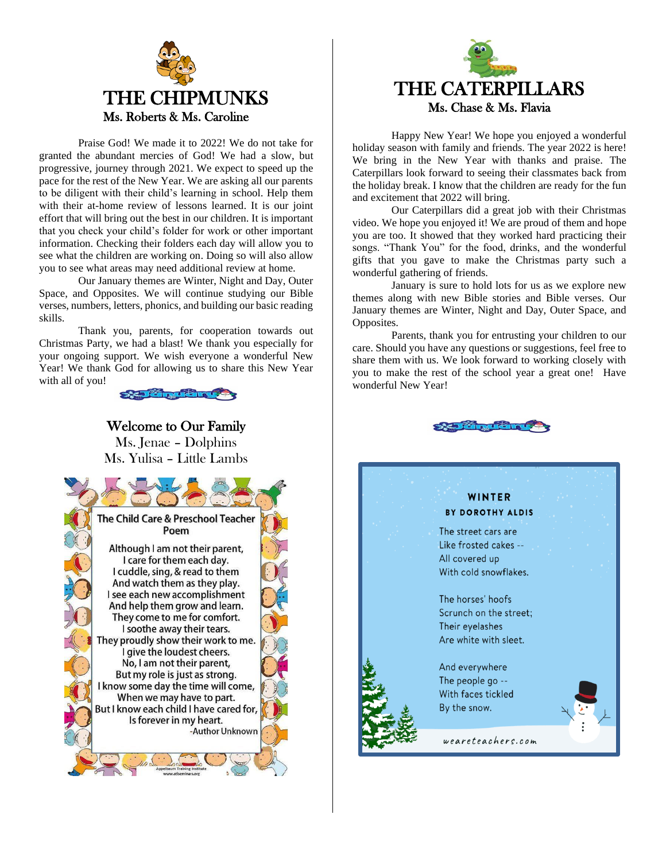

Praise God! We made it to 2022! We do not take for granted the abundant mercies of God! We had a slow, but progressive, journey through 2021. We expect to speed up the pace for the rest of the New Year. We are asking all our parents to be diligent with their child's learning in school. Help them with their at-home review of lessons learned. It is our joint effort that will bring out the best in our children. It is important that you check your child's folder for work or other important information. Checking their folders each day will allow you to see what the children are working on. Doing so will also allow you to see what areas may need additional review at home.

Our January themes are Winter, Night and Day, Outer Space, and Opposites. We will continue studying our Bible verses, numbers, letters, phonics, and building our basic reading skills.

Thank you, parents, for cooperation towards out Christmas Party, we had a blast! We thank you especially for your ongoing support. We wish everyone a wonderful New Year! We thank God for allowing us to share this New Year with all of you!



# Welcome to Our Family

Ms. Jenae – Dolphins Ms. Yulisa – Little Lambs





Happy New Year! We hope you enjoyed a wonderful holiday season with family and friends. The year 2022 is here! We bring in the New Year with thanks and praise. The Caterpillars look forward to seeing their classmates back from the holiday break. I know that the children are ready for the fun and excitement that 2022 will bring.

Our Caterpillars did a great job with their Christmas video. We hope you enjoyed it! We are proud of them and hope you are too. It showed that they worked hard practicing their songs. "Thank You" for the food, drinks, and the wonderful gifts that you gave to make the Christmas party such a wonderful gathering of friends.

January is sure to hold lots for us as we explore new themes along with new Bible stories and Bible verses. Our January themes are Winter, Night and Day, Outer Space, and Opposites.

Parents, thank you for entrusting your children to our care. Should you have any questions or suggestions, feel free to share them with us. We look forward to working closely with you to make the rest of the school year a great one! Have wonderful New Year!



# WINTER BY DOROTHY ALDIS

The street cars are Like frosted cakes --All covered up With cold snowflakes.

The horses' hoofs Scrunch on the street; Their eyelashes Are white with sleet.

And everywhere The people go --With faces tickled By the snow.



weareteachers.com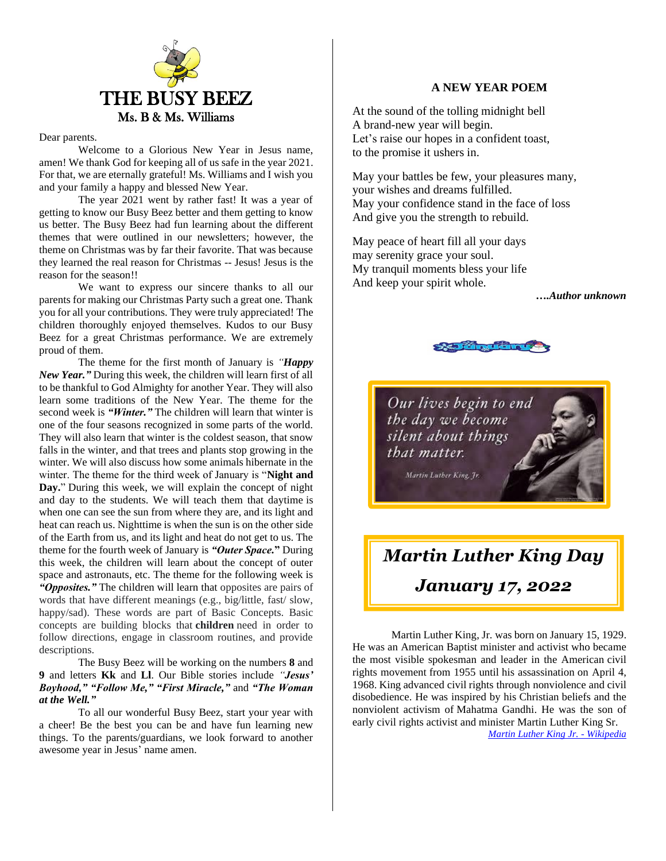

#### Dear parents.

Welcome to a Glorious New Year in Jesus name, amen! We thank God for keeping all of us safe in the year 2021. For that, we are eternally grateful! Ms. Williams and I wish you and your family a happy and blessed New Year.

The year 2021 went by rather fast! It was a year of getting to know our Busy Beez better and them getting to know us better. The Busy Beez had fun learning about the different themes that were outlined in our newsletters; however, the theme on Christmas was by far their favorite. That was because they learned the real reason for Christmas -- Jesus! Jesus is the reason for the season!!

We want to express our sincere thanks to all our parents for making our Christmas Party such a great one. Thank you for all your contributions. They were truly appreciated! The children thoroughly enjoyed themselves. Kudos to our Busy Beez for a great Christmas performance. We are extremely proud of them.

The theme for the first month of January is *"Happy New Year."* During this week, the children will learn first of all to be thankful to God Almighty for another Year. They will also learn some traditions of the New Year. The theme for the second week is *"Winter."* The children will learn that winter is one of the four seasons recognized in some parts of the world. They will also learn that winter is the coldest season, that snow falls in the winter, and that trees and plants stop growing in the winter. We will also discuss how some animals hibernate in the winter. The theme for the third week of January is "**Night and Day.**" During this week, we will explain the concept of night and day to the students. We will teach them that daytime is when one can see the sun from where they are, and its light and heat can reach us. Nighttime is when the sun is on the other side of the Earth from us, and its light and heat do not get to us. The theme for the fourth week of January is *"Outer Space.***"** During this week, the children will learn about the concept of outer space and astronauts, etc. The theme for the following week is *"Opposites."* The children will learn that opposites are pairs of words that have different meanings (e.g., big/little, fast/ slow, happy/sad). These words are part of Basic Concepts. Basic concepts are building blocks that **children** need in order to follow directions, engage in classroom routines, and provide descriptions.

The Busy Beez will be working on the numbers **8** and **9** and letters **Kk** and **Ll**. Our Bible stories include *"Jesus' Boyhood," "Follow Me," "First Miracle,"* and *"The Woman at the Well."*

To all our wonderful Busy Beez, start your year with a cheer! Be the best you can be and have fun learning new things. To the parents/guardians, we look forward to another awesome year in Jesus' name amen.

## **A NEW YEAR POEM**

At the sound of the tolling midnight bell A brand-new year will begin. Let's raise our hopes in a confident toast, to the promise it ushers in.

May your battles be few, your pleasures many, your wishes and dreams fulfilled. May your confidence stand in the face of loss And give you the strength to rebuild.

May peace of heart fill all your days may serenity grace your soul. My tranquil moments bless your life And keep your spirit whole.

*….Author unknown*



Our lives begin to end the day we become silent about things that matter.

Martin Luther King, Jr.

# *Martin Luther King Day January 17, 2022*

Martin Luther King, Jr. was born on January 15, 1929. He was an American [Baptist](https://en.wikipedia.org/wiki/Baptist) minister and activist who became the most visible spokesman and leader in the American [civil](https://en.wikipedia.org/wiki/Civil_rights_movement)  [rights movement](https://en.wikipedia.org/wiki/Civil_rights_movement) from 1955 until [his assassination](https://en.wikipedia.org/wiki/Assassination_of_Martin_Luther_King_Jr.) on April 4, 1968. King advanced [civil rights](https://en.wikipedia.org/wiki/Civil_and_political_rights) through [nonviolence](https://en.wikipedia.org/wiki/Nonviolence) and [civil](https://en.wikipedia.org/wiki/Civil_disobedience)  [disobedience.](https://en.wikipedia.org/wiki/Civil_disobedience) He was inspired by his [Christian](https://en.wikipedia.org/wiki/Christianity) beliefs and the nonviolent activism of [Mahatma Gandhi.](https://en.wikipedia.org/wiki/Mahatma_Gandhi) He was the son of early civil rights activist and minister [Martin Luther King Sr.](https://en.wikipedia.org/wiki/Martin_Luther_King_Sr.) *[Martin Luther King Jr. -](https://en.wikipedia.org/wiki/Martin_Luther_King_Jr.) Wikipedia*